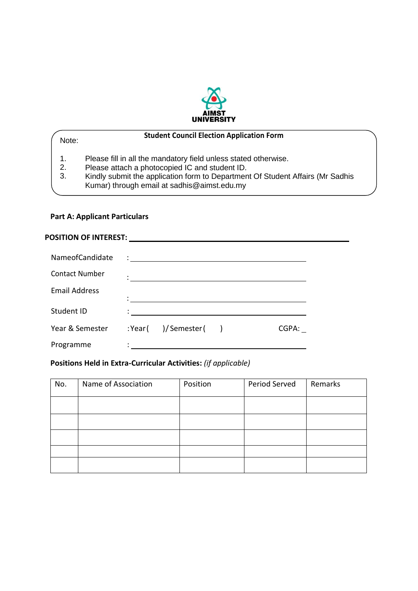

| Note:          | <b>Student Council Election Application Form</b>                                                                                                                                                                                                   |  |
|----------------|----------------------------------------------------------------------------------------------------------------------------------------------------------------------------------------------------------------------------------------------------|--|
| 1.<br>2.<br>3. | Please fill in all the mandatory field unless stated otherwise.<br>Please attach a photocopied IC and student ID.<br>Kindly submit the application form to Department Of Student Affairs (Mr Sadhis<br>Kumar) through email at sadhis@aimst.edu.my |  |
|                |                                                                                                                                                                                                                                                    |  |

## **Part A: Applicant Particulars**

#### **POSITION OF INTEREST:**

| NameofCandidate       |                       |       |
|-----------------------|-----------------------|-------|
| <b>Contact Number</b> |                       |       |
| <b>Email Address</b>  |                       |       |
| Student ID            |                       |       |
| Year & Semester       | $:Year($ )/Semester() | CGPA: |
| Programme             |                       |       |

# **Positions Held in Extra-Curricular Activities:** *(if applicable)*

| No. | Name of Association | Position | Period Served | Remarks |
|-----|---------------------|----------|---------------|---------|
|     |                     |          |               |         |
|     |                     |          |               |         |
|     |                     |          |               |         |
|     |                     |          |               |         |
|     |                     |          |               |         |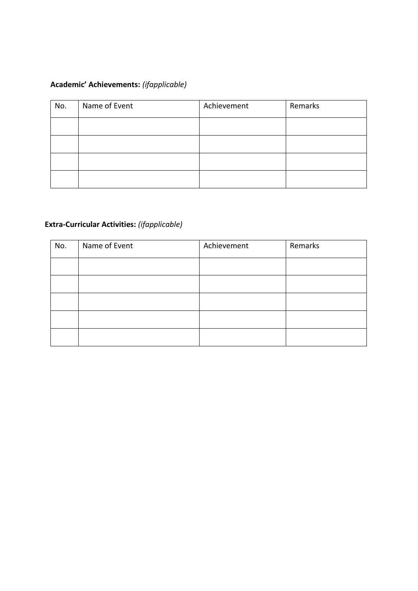# **Academic' Achievements:** *(ifapplicable)*

| No. | Name of Event | Achievement | Remarks |
|-----|---------------|-------------|---------|
|     |               |             |         |
|     |               |             |         |
|     |               |             |         |
|     |               |             |         |

# **Extra-Curricular Activities:** *(ifapplicable)*

| No. | Name of Event | Achievement | Remarks |
|-----|---------------|-------------|---------|
|     |               |             |         |
|     |               |             |         |
|     |               |             |         |
|     |               |             |         |
|     |               |             |         |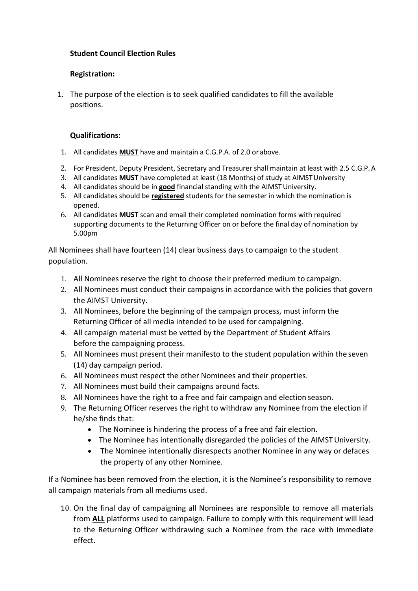## **Student Council Election Rules**

### **Registration:**

1. The purpose of the election is to seek qualified candidates to fill the available positions.

#### **Qualifications:**

- 1. All candidates **MUST** have and maintain a C.G.P.A. of 2.0 or above.
- 2. For President, Deputy President, Secretary and Treasurer shall maintain at least with 2.5 C.G.P.A
- 3. All candidates **MUST** have completed at least (18 Months) of study at AIMSTUniversity
- 4. All candidates should be in good financial standing with the AIMST University.
- 5. All candidates should be **registered** students for the semester in which the nomination is opened.
- 6. All candidates **MUST** scan and email their completed nomination forms with required supporting documents to the Returning Officer on or before the final day of nomination by 5.00pm

All Nominees shall have fourteen (14) clear business days to campaign to the student population.

- 1. All Nominees reserve the right to choose their preferred medium to campaign.
- 2. All Nominees must conduct their campaigns in accordance with the policies that govern the AIMST University.
- 3. All Nominees, before the beginning of the campaign process, must inform the Returning Officer of all media intended to be used for campaigning.
- 4. All campaign material must be vetted by the Department of Student Affairs before the campaigning process.
- 5. All Nominees must present their manifesto to the student population within the seven (14) day campaign period.
- 6. All Nominees must respect the other Nominees and their properties.
- 7. All Nominees must build their campaigns around facts.
- 8. All Nominees have the right to a free and fair campaign and election season.
- 9. The Returning Officer reserves the right to withdraw any Nominee from the election if he/she finds that:
	- The Nominee is hindering the process of a free and fair election.
	- The Nominee has intentionally disregarded the policies of the AIMST University.
	- The Nominee intentionally disrespects another Nominee in any way or defaces the property of any other Nominee.

If a Nominee has been removed from the election, it is the Nominee's responsibility to remove all campaign materials from all mediums used.

10. On the final day of campaigning all Nominees are responsible to remove all materials from **ALL** platforms used to campaign. Failure to comply with this requirement will lead to the Returning Officer withdrawing such a Nominee from the race with immediate effect.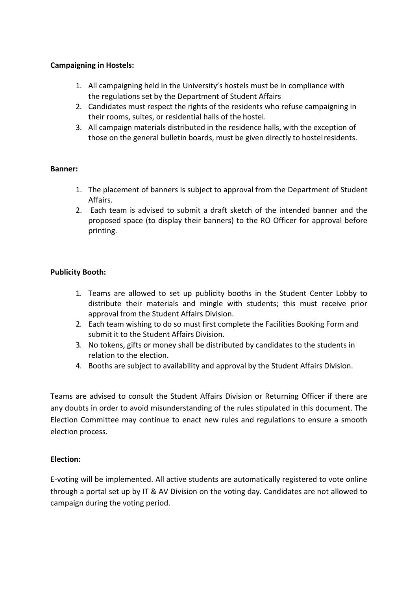### **Campaigning in Hostels:**

- 1. All campaigning held in the University's hostels must be in compliance with the regulations set by the Department of Student Affairs
- 2. Candidates must respect the rights of the residents who refuse campaigning in their rooms, suites, or residential halls of the hostel.
- 3. All campaign materials distributed in the residence halls, with the exception of those on the general bulletin boards, must be given directly to hostelresidents.

#### **Banner:**

- 1. The placement of banners is subject to approval from the Department of Student Affairs.
- 2. Each team is advised to submit a draft sketch of the intended banner and the proposed space (to display their banners) to the RO Officer for approval before printing.

#### **Publicity Booth:**

- 1. Teams are allowed to set up publicity booths in the Student Center Lobby to distribute their materials and mingle with students; this must receive prior approval from the Student Affairs Division.
- 2. Each team wishing to do so must first complete the Facilities Booking Form and submit it to the Student Affairs Division.
- 3. No tokens, gifts or money shall be distributed by candidates to the students in relation to the election.
- 4. Booths are subject to availability and approval by the Student Affairs Division.

Teams are advised to consult the Student Affairs Division or Returning Officer if there are any doubts in order to avoid misunderstanding of the rules stipulated in this document. The Election Committee may continue to enact new rules and regulations to ensure a smooth election process.

#### **Election:**

E-voting will be implemented. All active students are automatically registered to vote online through a portal set up by IT & AV Division on the voting day. Candidates are not allowed to campaign during the voting period.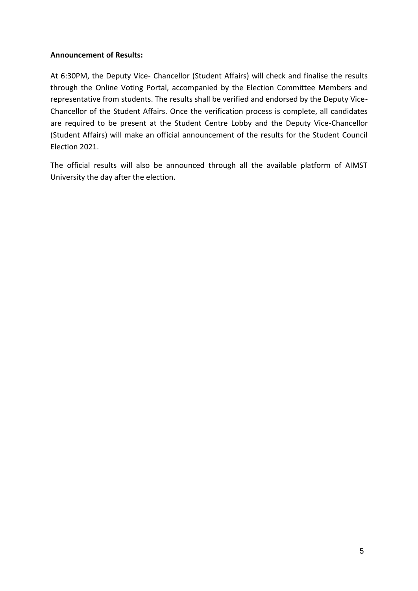## **Announcement of Results:**

At 6:30PM, the Deputy Vice- Chancellor (Student Affairs) will check and finalise the results through the Online Voting Portal, accompanied by the Election Committee Members and representative from students. The results shall be verified and endorsed by the Deputy Vice-Chancellor of the Student Affairs. Once the verification process is complete, all candidates are required to be present at the Student Centre Lobby and the Deputy Vice-Chancellor (Student Affairs) will make an official announcement of the results for the Student Council Election 2021.

The official results will also be announced through all the available platform of AIMST University the day after the election.